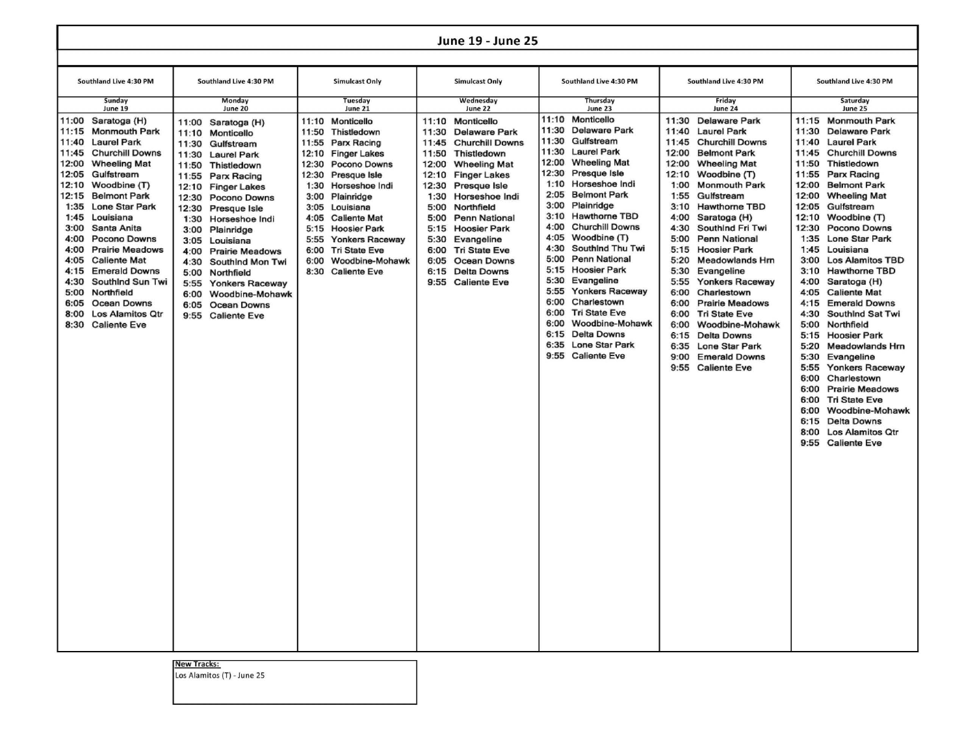## **June 19 - June 25**

| June 19 - June 25                                                                                                                                  |                                                                                                                                                                                                                                                                                                                                                                                                                               |                                                                                                                                                                                                                                                                                                                                                                                                                                                                                                                             |                                                                                                                                                                                                                                                                                                                                                                                                                          |                                                                                                                                                                                                                                                                                                                                                                                                                                                                   |                                                                                                                                                                                                                                                                                                                                                                                                                                                                                                                                                                                                                                               |                                                                                                                                                                                                                                                                                                                                                                                                                                                                                                                                                                                                                                                                                                                    |                                                                                                                                                                                                                                                                                                                                                                                                                                                                                                                                                                                                                                                                                                                                                                                                                                                                           |  |  |  |
|----------------------------------------------------------------------------------------------------------------------------------------------------|-------------------------------------------------------------------------------------------------------------------------------------------------------------------------------------------------------------------------------------------------------------------------------------------------------------------------------------------------------------------------------------------------------------------------------|-----------------------------------------------------------------------------------------------------------------------------------------------------------------------------------------------------------------------------------------------------------------------------------------------------------------------------------------------------------------------------------------------------------------------------------------------------------------------------------------------------------------------------|--------------------------------------------------------------------------------------------------------------------------------------------------------------------------------------------------------------------------------------------------------------------------------------------------------------------------------------------------------------------------------------------------------------------------|-------------------------------------------------------------------------------------------------------------------------------------------------------------------------------------------------------------------------------------------------------------------------------------------------------------------------------------------------------------------------------------------------------------------------------------------------------------------|-----------------------------------------------------------------------------------------------------------------------------------------------------------------------------------------------------------------------------------------------------------------------------------------------------------------------------------------------------------------------------------------------------------------------------------------------------------------------------------------------------------------------------------------------------------------------------------------------------------------------------------------------|--------------------------------------------------------------------------------------------------------------------------------------------------------------------------------------------------------------------------------------------------------------------------------------------------------------------------------------------------------------------------------------------------------------------------------------------------------------------------------------------------------------------------------------------------------------------------------------------------------------------------------------------------------------------------------------------------------------------|---------------------------------------------------------------------------------------------------------------------------------------------------------------------------------------------------------------------------------------------------------------------------------------------------------------------------------------------------------------------------------------------------------------------------------------------------------------------------------------------------------------------------------------------------------------------------------------------------------------------------------------------------------------------------------------------------------------------------------------------------------------------------------------------------------------------------------------------------------------------------|--|--|--|
|                                                                                                                                                    |                                                                                                                                                                                                                                                                                                                                                                                                                               |                                                                                                                                                                                                                                                                                                                                                                                                                                                                                                                             |                                                                                                                                                                                                                                                                                                                                                                                                                          |                                                                                                                                                                                                                                                                                                                                                                                                                                                                   |                                                                                                                                                                                                                                                                                                                                                                                                                                                                                                                                                                                                                                               |                                                                                                                                                                                                                                                                                                                                                                                                                                                                                                                                                                                                                                                                                                                    |                                                                                                                                                                                                                                                                                                                                                                                                                                                                                                                                                                                                                                                                                                                                                                                                                                                                           |  |  |  |
| Southland Live 4:30 PM                                                                                                                             |                                                                                                                                                                                                                                                                                                                                                                                                                               | Southland Live 4:30 PM                                                                                                                                                                                                                                                                                                                                                                                                                                                                                                      | <b>Simulcast Only</b>                                                                                                                                                                                                                                                                                                                                                                                                    | <b>Simulcast Only</b>                                                                                                                                                                                                                                                                                                                                                                                                                                             | Southland Live 4:30 PM                                                                                                                                                                                                                                                                                                                                                                                                                                                                                                                                                                                                                        | Southland Live 4:30 PM                                                                                                                                                                                                                                                                                                                                                                                                                                                                                                                                                                                                                                                                                             | Southland Live 4:30 PM                                                                                                                                                                                                                                                                                                                                                                                                                                                                                                                                                                                                                                                                                                                                                                                                                                                    |  |  |  |
| Sunday<br>June 19                                                                                                                                  |                                                                                                                                                                                                                                                                                                                                                                                                                               | Monday<br>June 20                                                                                                                                                                                                                                                                                                                                                                                                                                                                                                           | Tuesday<br>June 21                                                                                                                                                                                                                                                                                                                                                                                                       | Wednesday<br>June 22                                                                                                                                                                                                                                                                                                                                                                                                                                              | Thursday<br>June 23                                                                                                                                                                                                                                                                                                                                                                                                                                                                                                                                                                                                                           | Friday<br>June 24                                                                                                                                                                                                                                                                                                                                                                                                                                                                                                                                                                                                                                                                                                  | Saturday<br>June 25                                                                                                                                                                                                                                                                                                                                                                                                                                                                                                                                                                                                                                                                                                                                                                                                                                                       |  |  |  |
| 11:40<br>11:45<br>12:00<br>12:05<br>12:10<br>12:15<br>1:35<br>1:45<br>3:00<br>4:00<br>4:00<br>4:05<br>4:15<br>4:30<br>5:00<br>6:05<br>8:00<br>8:30 | 11:00 Saratoga (H)<br>11:15 Monmouth Park<br><b>Laurel Park</b><br><b>Churchill Downs</b><br><b>Wheeling Mat</b><br>Gulfstream<br>Woodbine (T)<br><b>Belmont Park</b><br><b>Lone Star Park</b><br>Louisiana<br>Santa Anita<br>Pocono Downs<br><b>Prairie Meadows</b><br><b>Caliente Mat</b><br><b>Emerald Downs</b><br>Southind Sun Twi<br>Northfield<br><b>Ocean Downs</b><br><b>Los Alamitos Qtr</b><br><b>Caliente Eve</b> | 11:00 Saratoga (H)<br>11:10<br>Monticello<br>Gulfstream<br>11:30<br>11:30<br><b>Laurel Park</b><br>11:50<br>Thistledown<br>11:55<br>Parx Racing<br>12:10<br><b>Finger Lakes</b><br>12:30<br><b>Pocono Downs</b><br>12:30<br>Presque Isle<br>1:30<br>Horseshoe Indi<br>3:00<br>Plainridge<br>3:05<br>Louisiana<br>4:00<br><b>Prairie Meadows</b><br>4:30<br>Southind Mon Twi<br>5:00<br>Northfield<br>5:55<br><b>Yonkers Raceway</b><br>Woodbine-Mohawk<br>6:00<br>6:05<br><b>Ocean Downs</b><br>9:55<br><b>Caliente Eve</b> | 11:10 Monticello<br>11:50<br>Thistledown<br>11:55<br>Parx Racing<br>12:10<br><b>Finger Lakes</b><br>12:30<br><b>Pocono Downs</b><br>12:30<br>Presque Isle<br>1:30<br>Horseshoe Indi<br>3:00<br>Plainridge<br>3:05<br>Louisiana<br>4:05<br><b>Caliente Mat</b><br>5:15<br><b>Hoosier Park</b><br>5:55<br><b>Yonkers Raceway</b><br><b>Tri State Eve</b><br>6:00<br>6:00<br>Woodbine-Mohawk<br>8:30<br><b>Caliente Eve</b> | 11:10<br>Monticello<br>11:30<br><b>Delaware Park</b><br>11:45<br><b>Churchill Downs</b><br>11:50<br>Thistledown<br>12:00<br><b>Wheeling Mat</b><br>12:10<br><b>Finger Lakes</b><br>12:30<br>Presque Isle<br>1:30<br>Horseshoe Indi<br>5:00<br>Northfield<br>5:00<br>Penn National<br><b>Hoosier Park</b><br>5:15<br>5:30<br>Evangeline<br><b>Tri State Eve</b><br>6:00<br>6:05<br><b>Ocean Downs</b><br><b>Delta Downs</b><br>6:15<br>9:55<br><b>Caliente Eve</b> | 11:10 Monticello<br>11:30<br>Delaware Park<br>11:30<br>Gulfstream<br>11:30<br><b>Laurel Park</b><br>12:00<br><b>Wheeling Mat</b><br>12:30<br>Presque Isle<br>1:10<br>Horseshoe Indi<br>2:05<br><b>Belmont Park</b><br>3:00<br>Plainridge<br>3:10<br><b>Hawthorne TBD</b><br><b>Churchill Downs</b><br>4:00<br>4:05<br>Woodbine (T)<br>4:30<br>Southind Thu Twi<br>5:00<br>Penn National<br>5:15<br><b>Hoosier Park</b><br>5:30<br>Evangeline<br>5:55<br><b>Yonkers Raceway</b><br>6:00<br>Charlestown<br>6:00<br><b>Tri State Eve</b><br>6:00<br>Woodbine-Mohawk<br>6:15<br><b>Delta Downs</b><br>6:35<br>Lone Star Park<br>9:55 Caliente Eve | 11:30 Delaware Park<br>11:40<br><b>Laurel Park</b><br><b>Churchill Downs</b><br>11:45<br>12:00<br><b>Belmont Park</b><br>12:00<br><b>Wheeling Mat</b><br>12:10<br>Woodbine (T)<br>1:00<br><b>Monmouth Park</b><br>1:55<br>Gulfstream<br>3:10<br><b>Hawthorne TBD</b><br>4:00<br>Saratoga (H)<br>4:30<br>Southind Fri Twi<br>5:00<br><b>Penn National</b><br>5:15<br><b>Hoosier Park</b><br>5:20<br><b>Meadowlands Hrn</b><br>5:30<br>Evangeline<br>5:55<br><b>Yonkers Raceway</b><br>6:00<br>Charlestown<br>6:00<br><b>Prairie Meadows</b><br>6:00<br><b>Tri State Eve</b><br>6:00<br>Woodbine-Mohawk<br>6:15<br><b>Delta Downs</b><br>Lone Star Park<br>6:35<br>9:00<br><b>Emerald Downs</b><br>9:55 Caliente Eve | 11:15 Monmouth Park<br>11:30 Delaware Park<br><b>Laurel Park</b><br>11:40<br><b>Churchill Downs</b><br>11:45<br>11:50<br>Thistledown<br>11:55<br>Parx Racing<br>12:00<br><b>Belmont Park</b><br>12:00<br><b>Wheeling Mat</b><br>12:05<br>Gulfstream<br>12:10<br>Woodbine (T)<br>12:30<br>Pocono Downs<br><b>Lone Star Park</b><br>1:35<br>1:45<br>Louisiana<br>3:00<br><b>Los Alamitos TBD</b><br>3:10<br><b>Hawthorne TBD</b><br>4:00<br>Saratoga (H)<br>4:05<br><b>Caliente Mat</b><br>4:15<br><b>Emerald Downs</b><br>4:30<br>Southind Sat Twi<br>5:00<br>Northfield<br>5:15<br><b>Hoosier Park</b><br>5:20<br><b>Meadowlands Hrn</b><br>5:30<br>Evangeline<br>5:55<br><b>Yonkers Raceway</b><br>6:00<br>Charlestown<br>6:00<br><b>Prairie Meadows</b><br>6:00 Tri State Eve<br>6:00 Woodbine-Mohawk<br>6:15 Delta Downs<br>8:00 Los Alamitos Qtr<br>9:55 Caliente Eve |  |  |  |

New Tracks:

Los Alamitos (T) - June 25